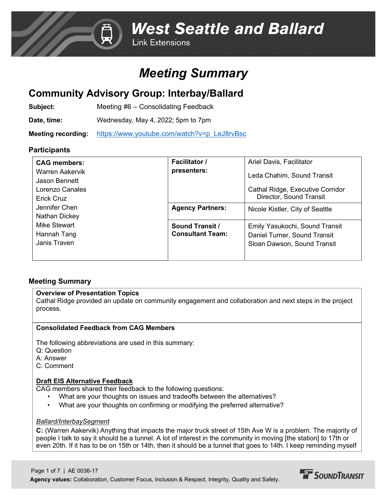## *Meeting Summary*

## **Community Advisory Group: Interbay/Ballard**

**Subject:** Meeting #6 – Consolidating Feedback

**Date, time:** Wednesday, May 4, 2022; 5pm to 7pm

**Meeting recording:** [https://www.youtube.com/watch?v=p\\_LeJ8rvBsc](https://www.youtube.com/watch?v=p_LeJ8rvBsc)

## **Participants**

| <b>CAG members:</b><br>Warren Aakervik<br>Jason Bennett<br>Lorenzo Canales<br><b>Erick Cruz</b><br>Jennifer Chen<br>Nathan Dickey<br>Mike Stewart<br>Hannah Tang<br>Janis Traven | <b>Facilitator /</b><br>presenters:               | Ariel Davis, Facilitator<br>Leda Chahim, Sound Transit<br>Cathal Ridge, Executive Corridor<br>Director, Sound Transit |
|----------------------------------------------------------------------------------------------------------------------------------------------------------------------------------|---------------------------------------------------|-----------------------------------------------------------------------------------------------------------------------|
|                                                                                                                                                                                  | <b>Agency Partners:</b>                           | Nicole Kistler, City of Seattle                                                                                       |
|                                                                                                                                                                                  | <b>Sound Transit /</b><br><b>Consultant Team:</b> | Emily Yasukochi, Sound Transit<br>Daniel Turner, Sound Transit<br>Sloan Dawson, Sound Transit                         |

## **Meeting Summary**

### **Overview of Presentation Topics**

Cathal Ridge provided an update on community engagement and collaboration and next steps in the project process.

## **Consolidated Feedback from CAG Members**

The following abbreviations are used in this summary:

- Q: Question
- A: Answer
- C: Comment

### **Draft EIS Alternative Feedback**

CAG members shared their feedback to the following questions:

- What are your thoughts on issues and tradeoffs between the alternatives?
- What are your thoughts on confirming or modifying the preferred alternative?

### *Ballard/InterbaySegment*

Page 1 of 7 | AE 0036-17

**C:** (Warren Aakervik) Anything that impacts the major truck street of 15th Ave W is a problem. The majority of people I talk to say it should be a tunnel. A lot of interest in the community in moving [the station] to 17th or even 20th. If it has to be on 15th or 14th, then it should be a tunnel that goes to 14th. I keep reminding myself

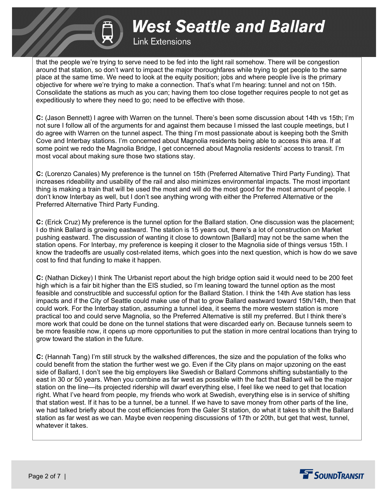## **Link Extensions**

that the people we're trying to serve need to be fed into the light rail somehow. There will be congestion around that station, so don't want to impact the major thoroughfares while trying to get people to the same place at the same time. We need to look at the equity position; jobs and where people live is the primary objective for where we're trying to make a connection. That's what I'm hearing: tunnel and not on 15th. Consolidate the stations as much as you can; having them too close together requires people to not get as expeditiously to where they need to go; need to be effective with those.

**C:** (Jason Bennett) I agree with Warren on the tunnel. There's been some discussion about 14th vs 15th; I'm not sure I follow all of the arguments for and against them because I missed the last couple meetings, but I do agree with Warren on the tunnel aspect. The thing I'm most passionate about is keeping both the Smith Cove and Interbay stations. I'm concerned about Magnolia residents being able to access this area. If at some point we redo the Magnolia Bridge, I get concerned about Magnolia residents' access to transit. I'm most vocal about making sure those two stations stay.

**C:** (Lorenzo Canales) My preference is the tunnel on 15th (Preferred Alternative Third Party Funding). That increases rideability and usability of the rail and also minimizes environmental impacts. The most important thing is making a train that will be used the most and will do the most good for the most amount of people. I don't know Interbay as well, but I don't see anything wrong with either the Preferred Alternative or the Preferred Alternative Third Party Funding.

**C:** (Erick Cruz) My preference is the tunnel option for the Ballard station. One discussion was the placement; I do think Ballard is growing eastward. The station is 15 years out, there's a lot of construction on Market pushing eastward. The discussion of wanting it close to downtown [Ballard] may not be the same when the station opens. For Interbay, my preference is keeping it closer to the Magnolia side of things versus 15th. I know the tradeoffs are usually cost-related items, which goes into the next question, which is how do we save cost to find that funding to make it happen.

**C:** (Nathan Dickey) I think The Urbanist report about the high bridge option said it would need to be 200 feet high which is a fair bit higher than the EIS studied, so I'm leaning toward the tunnel option as the most feasible and constructible and successful option for the Ballard Station. I think the 14th Ave station has less impacts and if the City of Seattle could make use of that to grow Ballard eastward toward 15th/14th, then that could work. For the Interbay station, assuming a tunnel idea, it seems the more western station is more practical too and could serve Magnolia, so the Preferred Alternative is still my preferred. But I think there's more work that could be done on the tunnel stations that were discarded early on. Because tunnels seem to be more feasible now, it opens up more opportunities to put the station in more central locations than trying to grow toward the station in the future.

**C:** (Hannah Tang) I'm still struck by the walkshed differences, the size and the population of the folks who could benefit from the station the further west we go. Even if the City plans on major upzoning on the east side of Ballard, I don't see the big employers like Swedish or Ballard Commons shifting substantially to the east in 30 or 50 years. When you combine as far west as possible with the fact that Ballard will be the major station on the line—its projected ridership will dwarf everything else, I feel like we need to get that location right. What I've heard from people, my friends who work at Swedish, everything else is in service of shifting that station west. If it has to be a tunnel, be a tunnel. If we have to save money from other parts of the line, we had talked briefly about the cost efficiencies from the Galer St station, do what it takes to shift the Ballard station as far west as we can. Maybe even reopening discussions of 17th or 20th, but get that west, tunnel, whatever it takes.

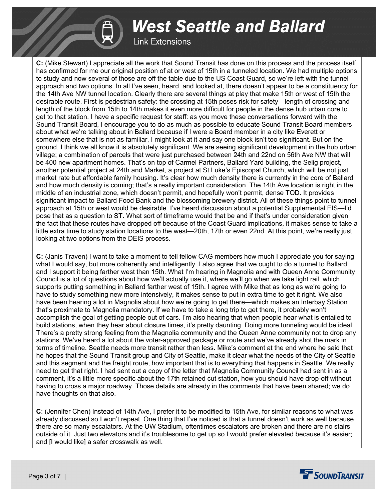**Link Extensions** 

**C:** (Mike Stewart) I appreciate all the work that Sound Transit has done on this process and the process itself has confirmed for me our original position of at or west of 15th in a tunneled location. We had multiple options to study and now several of those are off the table due to the US Coast Guard, so we're left with the tunnel approach and two options. In all I've seen, heard, and looked at, there doesn't appear to be a constituency for the 14th Ave NW tunnel location. Clearly there are several things at play that make 15th or west of 15th the desirable route. First is pedestrian safety: the crossing at 15th poses risk for safety—length of crossing and length of the block from 15th to 14th makes it even more difficult for people in the dense hub urban core to get to that station. I have a specific request for staff: as you move these conversations forward with the Sound Transit Board, I encourage you to do as much as possible to educate Sound Transit Board members about what we're talking about in Ballard because if I were a Board member in a city like Everett or somewhere else that is not as familiar, I might look at it and say one block isn't too significant. But on the ground, I think we all know it is absolutely significant. We are seeing significant development in the hub urban village; a combination of parcels that were just purchased between 24th and 22nd on 56th Ave NW that will be 400 new apartment homes. That's on top of Carmel Partners, Ballard Yard building, the Selig project, another potential project at 24th and Market, a project at St Luke's Episcopal Church, which will be not just market rate but affordable family housing. It's clear how much density there is currently in the core of Ballard and how much density is coming; that's a really important consideration. The 14th Ave location is right in the middle of an industrial zone, which doesn't permit, and hopefully won't permit, dense TOD. It provides significant impact to Ballard Food Bank and the blossoming brewery district. All of these things point to tunnel approach at 15th or west would be desirable. I've heard discussion about a potential Supplemental EIS—I'd pose that as a question to ST. What sort of timeframe would that be and if that's under consideration given the fact that these routes have dropped off because of the Coast Guard implications, it makes sense to take a little extra time to study station locations to the west—20th, 17th or even 22nd. At this point, we're really just looking at two options from the DEIS process.

**C:** (Janis Traven) I want to take a moment to tell fellow CAG members how much I appreciate you for saying what I would say, but more coherently and intelligently. I also agree that we ought to do a tunnel to Ballard and I support it being farther west than 15th. What I'm hearing in Magnolia and with Queen Anne Community Council is a lot of questions about how we'll actually use it, where we'll go when we take light rail, which supports putting something in Ballard farther west of 15th. I agree with Mike that as long as we're going to have to study something new more intensively, it makes sense to put in extra time to get it right. We also have been hearing a lot in Magnolia about how we're going to get there—which makes an Interbay Station that's proximate to Magnolia mandatory. If we have to take a long trip to get there, it probably won't accomplish the goal of getting people out of cars. I'm also hearing that when people hear what is entailed to build stations, when they hear about closure times, it's pretty daunting. Doing more tunneling would be ideal. There's a pretty strong feeling from the Magnolia community and the Queen Anne community not to drop any stations. We've heard a lot about the voter-approved package or route and we've already shot the mark in terms of timeline. Seattle needs more transit rather than less. Mike's comment at the end where he said that he hopes that the Sound Transit group and City of Seattle, make it clear what the needs of the City of Seattle and this segment and the freight route, how important that is to everything that happens in Seattle. We really need to get that right. I had sent out a copy of the letter that Magnolia Community Council had sent in as a comment, it's a little more specific about the 17th retained cut station, how you should have drop-off without having to cross a major roadway. Those details are already in the comments that have been shared; we do have thoughts on that also.

**C**: (Jennifer Chen) Instead of 14th Ave, I prefer it to be modified to 15th Ave, for similar reasons to what was already discussed so I won't repeat. One thing that I've noticed is that a tunnel doesn't work as well because there are so many escalators. At the UW Stadium, oftentimes escalators are broken and there are no stairs outside of it. Just two elevators and it's troublesome to get up so I would prefer elevated because it's easier; and [I would like] a safer crosswalk as well.

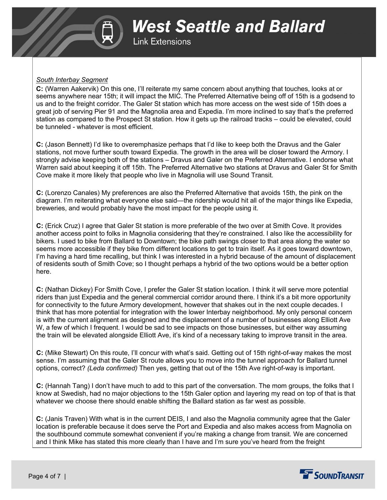## *South Interbay Segment*

**C:** (Warren Aakervik) On this one, I'll reiterate my same concern about anything that touches, looks at or seems anywhere near 15th; it will impact the MIC. The Preferred Alternative being off of 15th is a godsend to us and to the freight corridor. The Galer St station which has more access on the west side of 15th does a great job of serving Pier 91 and the Magnolia area and Expedia. I'm more inclined to say that's the preferred station as compared to the Prospect St station. How it gets up the railroad tracks – could be elevated, could be tunneled - whatever is most efficient.

**C:** (Jason Bennett) I'd like to overemphasize perhaps that I'd like to keep both the Dravus and the Galer stations, not move further south toward Expedia. The growth in the area will be closer toward the Armory. I strongly advise keeping both of the stations – Dravus and Galer on the Preferred Alternative. I endorse what Warren said about keeping it off 15th. The Preferred Alternative two stations at Dravus and Galer St for Smith Cove make it more likely that people who live in Magnolia will use Sound Transit.

**C:** (Lorenzo Canales) My preferences are also the Preferred Alternative that avoids 15th, the pink on the diagram. I'm reiterating what everyone else said—the ridership would hit all of the major things like Expedia, breweries, and would probably have the most impact for the people using it.

**C:** (Erick Cruz) I agree that Galer St station is more preferable of the two over at Smith Cove. It provides another access point to folks in Magnolia considering that they're constrained. I also like the accessibility for bikers. I used to bike from Ballard to Downtown; the bike path swings closer to that area along the water so seems more accessible if they bike from different locations to get to train itself. As it goes toward downtown, I'm having a hard time recalling, but think I was interested in a hybrid because of the amount of displacement of residents south of Smith Cove; so I thought perhaps a hybrid of the two options would be a better option here.

**C:** (Nathan Dickey) For Smith Cove, I prefer the Galer St station location. I think it will serve more potential riders than just Expedia and the general commercial corridor around there. I think it's a bit more opportunity for connectivity to the future Armory development, however that shakes out in the next couple decades. I think that has more potential for integration with the lower Interbay neighborhood. My only personal concern is with the current alignment as designed and the displacement of a number of businesses along Elliott Ave W, a few of which I frequent. I would be sad to see impacts on those businesses, but either way assuming the train will be elevated alongside Elliott Ave, it's kind of a necessary taking to improve transit in the area.

**C:** (Mike Stewart) On this route, I'll concur with what's said. Getting out of 15th right-of-way makes the most sense. I'm assuming that the Galer St route allows you to move into the tunnel approach for Ballard tunnel options, correct? *(Leda confirmed)* Then yes, getting that out of the 15th Ave right-of-way is important.

**C:** (Hannah Tang) I don't have much to add to this part of the conversation. The mom groups, the folks that I know at Swedish, had no major objections to the 15th Galer option and layering my read on top of that is that whatever we choose there should enable shifting the Ballard station as far west as possible.

**C:** (Janis Traven) With what is in the current DEIS, I and also the Magnolia community agree that the Galer location is preferable because it does serve the Port and Expedia and also makes access from Magnolia on the southbound commute somewhat convenient if you're making a change from transit. We are concerned and I think Mike has stated this more clearly than I have and I'm sure you've heard from the freight

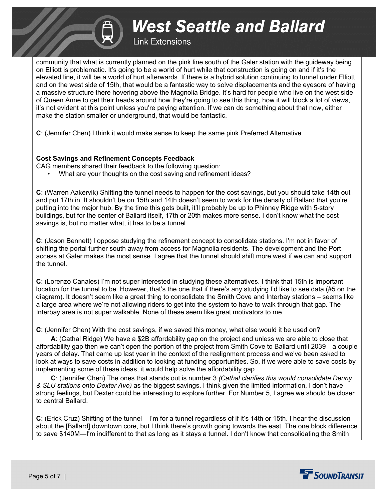## **Link Extensions**

community that what is currently planned on the pink line south of the Galer station with the guideway being on Elliott is problematic. It's going to be a world of hurt while that construction is going on and if it's the elevated line, it will be a world of hurt afterwards. If there is a hybrid solution continuing to tunnel under Elliott and on the west side of 15th, that would be a fantastic way to solve displacements and the eyesore of having a massive structure there hovering above the Magnolia Bridge. It's hard for people who live on the west side of Queen Anne to get their heads around how they're going to see this thing, how it will block a lot of views, it's not evident at this point unless you're paying attention. If we can do something about that now, either make the station smaller or underground, that would be fantastic.

**C**: (Jennifer Chen) I think it would make sense to keep the same pink Preferred Alternative.

#### **Cost Savings and Refinement Concepts Feedback**

- CAG members shared their feedback to the following question:
	- What are your thoughts on the cost saving and refinement ideas?

**C**: (Warren Aakervik) Shifting the tunnel needs to happen for the cost savings, but you should take 14th out and put 17th in. It shouldn't be on 15th and 14th doesn't seem to work for the density of Ballard that you're putting into the major hub. By the time this gets built, it'll probably be up to Phinney Ridge with 5-story buildings, but for the center of Ballard itself, 17th or 20th makes more sense. I don't know what the cost savings is, but no matter what, it has to be a tunnel.

**C**: (Jason Bennett) I oppose studying the refinement concept to consolidate stations. I'm not in favor of shifting the portal further south away from access for Magnolia residents. The development and the Port access at Galer makes the most sense. I agree that the tunnel should shift more west if we can and support the tunnel.

**C**: (Lorenzo Canales) I'm not super interested in studying these alternatives. I think that 15th is important location for the tunnel to be. However, that's the one that if there's any studying I'd like to see data (#5 on the diagram). It doesn't seem like a great thing to consolidate the Smith Cove and Interbay stations – seems like a large area where we're not allowing riders to get into the system to have to walk through that gap. The Interbay area is not super walkable. None of these seem like great motivators to me.

**C**: (Jennifer Chen) With the cost savings, if we saved this money, what else would it be used on?

 **A**: (Cathal Ridge) We have a \$2B affordability gap on the project and unless we are able to close that affordability gap then we can't open the portion of the project from Smith Cove to Ballard until 2039—a couple years of delay. That came up last year in the context of the realignment process and we've been asked to look at ways to save costs in addition to looking at funding opportunities. So, if we were able to save costs by implementing some of these ideas, it would help solve the affordability gap.

 **C**: (Jennifer Chen) The ones that stands out is number 3 *(Cathal clarifies this would consolidate Denny & SLU stations onto Dexter Ave)* as the biggest savings. I think given the limited information, I don't have strong feelings, but Dexter could be interesting to explore further. For Number 5, I agree we should be closer to central Ballard.

**C**: (Erick Cruz) Shifting of the tunnel – I'm for a tunnel regardless of if it's 14th or 15th. I hear the discussion about the [Ballard] downtown core, but I think there's growth going towards the east. The one block difference to save \$140M—I'm indifferent to that as long as it stays a tunnel. I don't know that consolidating the Smith

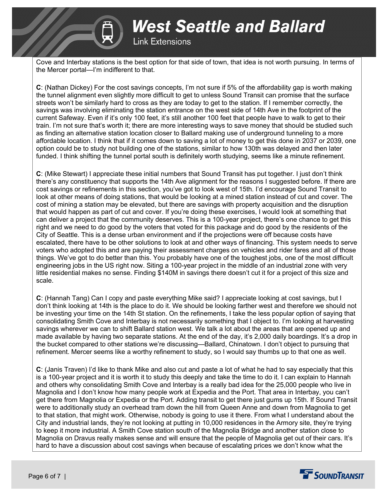

**Link Extensions** 

Cove and Interbay stations is the best option for that side of town, that idea is not worth pursuing. In terms of the Mercer portal—I'm indifferent to that.

**C**: (Nathan Dickey) For the cost savings concepts, I'm not sure if 5% of the affordability gap is worth making the tunnel alignment even slightly more difficult to get to unless Sound Transit can promise that the surface streets won't be similarly hard to cross as they are today to get to the station. If I remember correctly, the savings was involving eliminating the station entrance on the west side of 14th Ave in the footprint of the current Safeway. Even if it's only 100 feet, it's still another 100 feet that people have to walk to get to their train. I'm not sure that's worth it; there are more interesting ways to save money that should be studied such as finding an alternative station location closer to Ballard making use of underground tunneling to a more affordable location. I think that if it comes down to saving a lot of money to get this done in 2037 or 2039, one option could be to study not building one of the stations, similar to how 130th was delayed and then later funded. I think shifting the tunnel portal south is definitely worth studying, seems like a minute refinement.

**C**: (Mike Stewart) I appreciate these initial numbers that Sound Transit has put together. I just don't think there's any constituency that supports the 14th Ave alignment for the reasons I suggested before. If there are cost savings or refinements in this section, you've got to look west of 15th. I'd encourage Sound Transit to look at other means of doing stations, that would be looking at a mined station instead of cut and cover. The cost of mining a station may be elevated, but there are savings with property acquisition and the disruption that would happen as part of cut and cover. If you're doing these exercises, I would look at something that can deliver a project that the community deserves. This is a 100-year project, there's one chance to get this right and we need to do good by the voters that voted for this package and do good by the residents of the City of Seattle. This is a dense urban environment and if the projections were off because costs have escalated, there have to be other solutions to look at and other ways of financing. This system needs to serve voters who adopted this and are paying their assessment charges on vehicles and rider fares and all of those things. We've got to do better than this. You probably have one of the toughest jobs, one of the most difficult engineering jobs in the US right now. Siting a 100-year project in the middle of an industrial zone with very little residential makes no sense. Finding \$140M in savings there doesn't cut it for a project of this size and scale.

**C**: (Hannah Tang) Can I copy and paste everything Mike said? I appreciate looking at cost savings, but I don't think looking at 14th is the place to do it. We should be looking farther west and therefore we should not be investing your time on the 14th St station. On the refinements, I take the less popular option of saying that consolidating Smith Cove and Interbay is not necessarily something that I object to. I'm looking at harvesting savings wherever we can to shift Ballard station west. We talk a lot about the areas that are opened up and made available by having two separate stations. At the end of the day, it's 2,000 daily boardings. It's a drop in the bucket compared to other stations we're discussing—Ballard, Chinatown. I don't object to pursuing that refinement. Mercer seems like a worthy refinement to study, so I would say thumbs up to that one as well.

**C**: (Janis Traven) I'd like to thank Mike and also cut and paste a lot of what he had to say especially that this is a 100-year project and it is worth it to study this deeply and take the time to do it. I can explain to Hannah and others why consolidating Smith Cove and Interbay is a really bad idea for the 25,000 people who live in Magnolia and I don't know how many people work at Expedia and the Port. That area in Interbay, you can't get there from Magnolia or Expedia or the Port. Adding transit to get there just gums up 15th. If Sound Transit were to additionally study an overhead tram down the hill from Queen Anne and down from Magnolia to get to that station, that might work. Otherwise, nobody is going to use it there. From what I understand about the City and industrial lands, they're not looking at putting in 10,000 residences in the Armory site, they're trying to keep it more industrial. A Smith Cove station south of the Magnolia Bridge and another station close to Magnolia on Dravus really makes sense and will ensure that the people of Magnolia get out of their cars. It's hard to have a discussion about cost savings when because of escalating prices we don't know what the